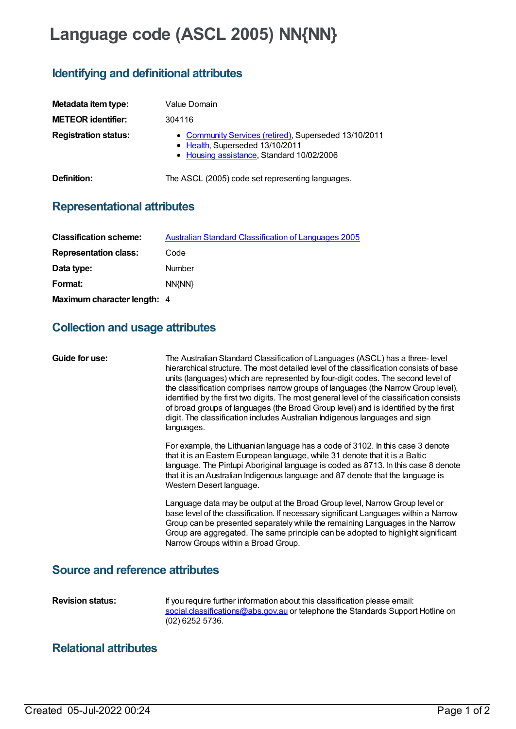# **Language code (ASCL 2005) NN{NN}**

# **Identifying and definitional attributes**

| Metadata item type:         | Value Domain                                                                                                                          |
|-----------------------------|---------------------------------------------------------------------------------------------------------------------------------------|
| <b>METEOR identifier:</b>   | 304116                                                                                                                                |
| <b>Registration status:</b> | • Community Services (retired), Superseded 13/10/2011<br>• Health, Superseded 13/10/2011<br>• Housing assistance, Standard 10/02/2006 |
| Definition:                 | The ASCL (2005) code set representing languages.                                                                                      |

#### **Representational attributes**

| <b>Classification scheme:</b> | <b>Australian Standard Classification of Languages 2005</b> |
|-------------------------------|-------------------------------------------------------------|
| <b>Representation class:</b>  | Code                                                        |
| Data type:                    | Number                                                      |
| Format:                       | NN{NN}                                                      |
| Maximum character length: 4   |                                                             |

## **Collection and usage attributes**

| Guide for use:                                    | The Australian Standard Classification of Languages (ASCL) has a three-level<br>hierarchical structure. The most detailed level of the classification consists of base<br>units (languages) which are represented by four-digit codes. The second level of<br>the classification comprises narrow groups of languages (the Narrow Group level),<br>identified by the first two digits. The most general level of the classification consists<br>of broad groups of languages (the Broad Group level) and is identified by the first<br>digit. The classification includes Australian Indigenous languages and sign<br>languages. |
|---------------------------------------------------|----------------------------------------------------------------------------------------------------------------------------------------------------------------------------------------------------------------------------------------------------------------------------------------------------------------------------------------------------------------------------------------------------------------------------------------------------------------------------------------------------------------------------------------------------------------------------------------------------------------------------------|
|                                                   | For example, the Lithuanian language has a code of 3102. In this case 3 denote<br>that it is an Eastern European language, while 31 denote that it is a Baltic<br>language. The Pintupi Aboriginal language is coded as 8713. In this case 8 denote<br>that it is an Australian Indigenous language and 87 denote that the language is<br>Western Desert language.                                                                                                                                                                                                                                                               |
|                                                   | Language data may be output at the Broad Group level, Narrow Group level or<br>base level of the classification. If necessary significant Languages within a Narrow<br>Group can be presented separately while the remaining Languages in the Narrow<br>Group are aggregated. The same principle can be adopted to highlight significant<br>Narrow Groups within a Broad Group.                                                                                                                                                                                                                                                  |
| a conservation of the Company of the Model of the |                                                                                                                                                                                                                                                                                                                                                                                                                                                                                                                                                                                                                                  |

#### **Source and reference attributes**

**Revision status:** If you require further information about this classification please email: [social.classifications@abs.gov.au](mailto:social.classifications@abs.gov.au) or telephone the Standards Support Hotline on (02) 6252 5736.

## **Relational attributes**